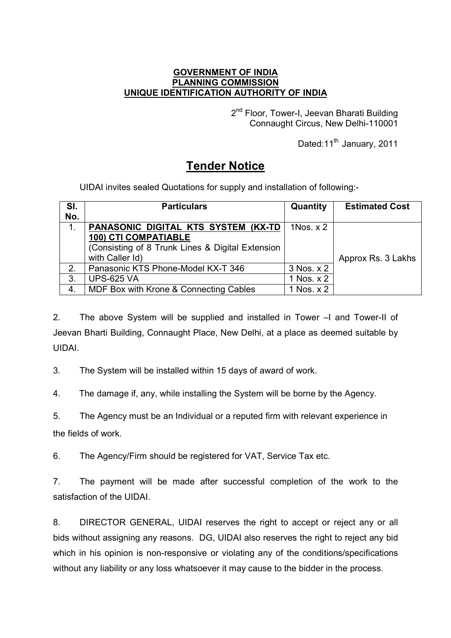## **GOVERNMENT OF INDIA PLANNING COMMISSION UNIQUE IDENTIFICATION AUTHORITY OF INDIA**

2<sup>nd</sup> Floor, Tower-I, Jeevan Bharati Building Connaught Circus, New Delhi-110001

Dated:11<sup>th</sup> January, 2011

## **Tender Notice**

UIDAI invites sealed Quotations for supply and installation of following:-

| SI. | <b>Particulars</b>                               | Quantity   | <b>Estimated Cost</b> |
|-----|--------------------------------------------------|------------|-----------------------|
| No. |                                                  |            |                       |
| 1.  | PANASONIC DIGITAL KTS SYSTEM (KX-TD              | 1Nos. $x2$ |                       |
|     | <b>100) CTI COMPATIABLE</b>                      |            |                       |
|     | (Consisting of 8 Trunk Lines & Digital Extension |            |                       |
|     | with Caller Id)                                  |            | Approx Rs. 3 Lakhs    |
| 2.  | Panasonic KTS Phone-Model KX-T 346               | 3 Nos. x 2 |                       |
| 3.  | <b>UPS-625 VA</b>                                | 1 Nos. x 2 |                       |
| 4.  | MDF Box with Krone & Connecting Cables           | 1 Nos. x 2 |                       |

2. The above System will be supplied and installed in Tower –I and Tower-II of Jeevan Bharti Building, Connaught Place, New Delhi, at a place as deemed suitable by UIDAI.

3. The System will be installed within 15 days of award of work.

4. The damage if, any, while installing the System will be borne by the Agency.

5. The Agency must be an Individual or a reputed firm with relevant experience in the fields of work.

6. The Agency/Firm should be registered for VAT, Service Tax etc.

7. The payment will be made after successful completion of the work to the satisfaction of the UIDAI.

8. DIRECTOR GENERAL, UIDAI reserves the right to accept or reject any or all bids without assigning any reasons. DG, UIDAI also reserves the right to reject any bid which in his opinion is non-responsive or violating any of the conditions/specifications without any liability or any loss whatsoever it may cause to the bidder in the process.